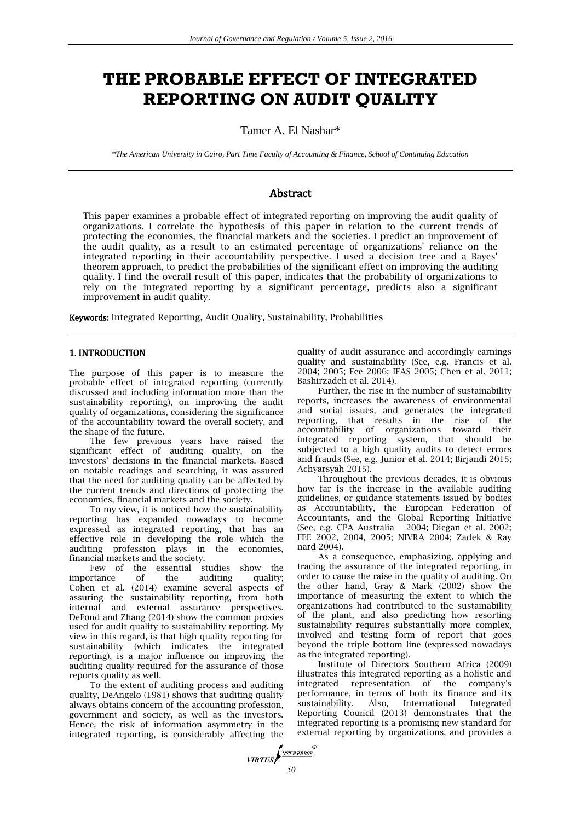# **THE PROBABLE EFFECT OF INTEGRATED REPORTING ON AUDIT QUALITY**

Tamer A. El Nashar\*

*\*The American University in Cairo, Part Time Faculty of Accounting & Finance, School of Continuing Education*

## Abstract

This paper examines a probable effect of integrated reporting on improving the audit quality of organizations. I correlate the hypothesis of this paper in relation to the current trends of protecting the economies, the financial markets and the societies. I predict an improvement of the audit quality, as a result to an estimated percentage of organizations' reliance on the integrated reporting in their accountability perspective. I used a decision tree and a Bayes' theorem approach, to predict the probabilities of the significant effect on improving the auditing quality. I find the overall result of this paper, indicates that the probability of organizations to rely on the integrated reporting by a significant percentage, predicts also a significant improvement in audit quality.

Keywords: Integrated Reporting, Audit Quality, Sustainability, Probabilities

#### 1. INTRODUCTION

The purpose of this paper is to measure the probable effect of integrated reporting (currently discussed and including information more than the sustainability reporting), on improving the audit quality of organizations, considering the significance of the accountability toward the overall society, and the shape of the future.

The few previous years have raised the significant effect of auditing quality, on the investors' decisions in the financial markets. Based on notable readings and searching, it was assured that the need for auditing quality can be affected by the current trends and directions of protecting the economies, financial markets and the society.

To my view, it is noticed how the sustainability reporting has expanded nowadays to become expressed as integrated reporting, that has an effective role in developing the role which the auditing profession plays in the economies, financial markets and the society.

Few of the essential studies show the importance of the auditing quality; Cohen et al. (2014) examine several aspects of assuring the sustainability reporting, from both internal and external assurance perspectives. DeFond and Zhang (2014) show the common proxies used for audit quality to sustainability reporting. My view in this regard, is that high quality reporting for sustainability (which indicates the integrated reporting), is a major influence on improving the auditing quality required for the assurance of those reports quality as well.

To the extent of auditing process and auditing quality, DeAngelo (1981) shows that auditing quality always obtains concern of the accounting profession, government and society, as well as the investors. Hence, the risk of information asymmetry in the integrated reporting, is considerably affecting the quality of audit assurance and accordingly earnings quality and sustainability (See, e.g. Francis et al. 2004; 2005; Fee 2006; IFAS 2005; Chen et al. 2011; Bashirzadeh et al. 2014).

Further, the rise in the number of sustainability reports, increases the awareness of environmental and social issues, and generates the integrated reporting, that results in the rise of the accountability of organizations toward their integrated reporting system, that should be subjected to a high quality audits to detect errors and frauds (See, e.g. Junior et al. 2014; Birjandi 2015; Achyarsyah 2015).

Throughout the previous decades, it is obvious how far is the increase in the available auditing guidelines, or guidance statements issued by bodies as Accountability, the European Federation of Accountants, and the Global Reporting Initiative (See, e.g. CPA Australia 2004; Diegan et al. 2002; FEE 2002, 2004, 2005; NIVRA 2004; Zadek & Ray nard 2004).

As a consequence, emphasizing, applying and tracing the assurance of the integrated reporting, in order to cause the raise in the quality of auditing. On the other hand, Gray & Mark (2002) show the importance of measuring the extent to which the organizations had contributed to the sustainability of the plant, and also predicting how resorting sustainability requires substantially more complex, involved and testing form of report that goes beyond the triple bottom line (expressed nowadays as the integrated reporting).

Institute of Directors Southern Africa (2009) illustrates this integrated reporting as a holistic and integrated representation of the company's performance, in terms of both its finance and its sustainability. Also, International Integrated Reporting Council (2013) demonstrates that the integrated reporting is a promising new standard for external reporting by organizations, and provides a

**VIRTUS**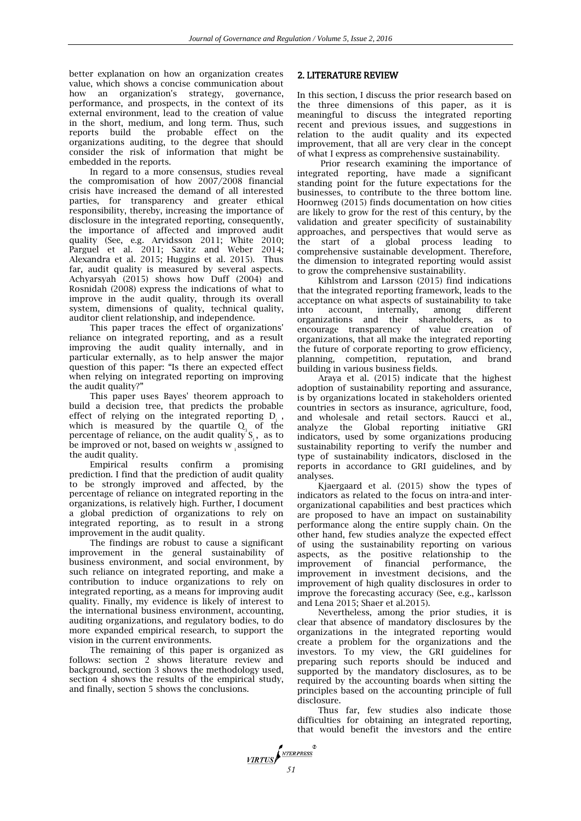better explanation on how an organization creates value, which shows a concise communication about how an organization's strategy, governance, performance, and prospects, in the context of its external environment, lead to the creation of value in the short, medium, and long term. Thus, such reports build the probable effect on the organizations auditing, to the degree that should consider the risk of information that might be embedded in the reports.

In regard to a more consensus, studies reveal the compromisation of how 2007/2008 financial crisis have increased the demand of all interested parties, for transparency and greater ethical responsibility, thereby, increasing the importance of disclosure in the integrated reporting, consequently, the importance of affected and improved audit quality (See, e.g. Arvidsson 2011; White 2010; Parguel et al. 2011; Savitz and Weber 2014; Alexandra et al. 2015; Huggins et al. 2015). Thus far, audit quality is measured by several aspects. Achyarsyah (2015) shows how Duff (2004) and Rosnidah (2008) express the indications of what to improve in the audit quality, through its overall system, dimensions of quality, technical quality, auditor client relationship, and independence.

This paper traces the effect of organizations' reliance on integrated reporting, and as a result improving the audit quality internally, and in particular externally, as to help answer the major question of this paper: "Is there an expected effect when relying on integrated reporting on improving the audit quality?"

This paper uses Bayes' theorem approach to build a decision tree, that predicts the probable effect of relying on the integrated reporting  $D_j$ , which is measured by the quartile  $Q_3$  of the percentage of reliance, on the audit quality  $S_i$ , as to be improved or not, based on weights  $w_i$  assigned to the audit quality.

Empirical results confirm a promising prediction. I find that the prediction of audit quality to be strongly improved and affected, by the percentage of reliance on integrated reporting in the organizations, is relatively high. Further, I document a global prediction of organizations to rely on integrated reporting, as to result in a strong improvement in the audit quality.

The findings are robust to cause a significant improvement in the general sustainability of business environment, and social environment, by such reliance on integrated reporting, and make a contribution to induce organizations to rely on integrated reporting, as a means for improving audit quality. Finally, my evidence is likely of interest to the international business environment, accounting, auditing organizations, and regulatory bodies, to do more expanded empirical research, to support the vision in the current environments.

The remaining of this paper is organized as follows: section 2 shows literature review and background, section 3 shows the methodology used, section 4 shows the results of the empirical study, and finally, section 5 shows the conclusions.

#### 2. LITERATURE REVIEW

In this section, I discuss the prior research based on the three dimensions of this paper, as it is meaningful to discuss the integrated reporting recent and previous issues, and suggestions in relation to the audit quality and its expected improvement, that all are very clear in the concept of what I express as comprehensive sustainability.

Prior research examining the importance of integrated reporting, have made a significant standing point for the future expectations for the businesses, to contribute to the three bottom line. Hoornweg (2015) finds documentation on how cities are likely to grow for the rest of this century, by the validation and greater specificity of sustainability approaches, and perspectives that would serve as the start of a global process leading to comprehensive sustainable development. Therefore, the dimension to integrated reporting would assist to grow the comprehensive sustainability.

Kihlstrom and Larsson (2015) find indications that the integrated reporting framework, leads to the acceptance on what aspects of sustainability to take<br>into account, internally, among different into account, internally, among organizations and their shareholders, as to encourage transparency of value creation of organizations, that all make the integrated reporting the future of corporate reporting to grow efficiency, planning, competition, reputation, and brand building in various business fields.

Araya et al. (2015) indicate that the highest adoption of sustainability reporting and assurance, is by organizations located in stakeholders oriented countries in sectors as insurance, agriculture, food, and wholesale and retail sectors. Raucci et al., analyze the Global reporting initiative GRI indicators, used by some organizations producing sustainability reporting to verify the number and type of sustainability indicators, disclosed in the reports in accordance to GRI guidelines, and by analyses.

Kjaergaard et al. (2015) show the types of indicators as related to the focus on intra-and interorganizational capabilities and best practices which are proposed to have an impact on sustainability performance along the entire supply chain. On the other hand, few studies analyze the expected effect of using the sustainability reporting on various aspects, as the positive relationship to the improvement of financial performance, the improvement in investment decisions, and the improvement of high quality disclosures in order to improve the forecasting accuracy (See, e.g., karlsson and Lena 2015; Shaer et al.2015).

Nevertheless, among the prior studies, it is clear that absence of mandatory disclosures by the organizations in the integrated reporting would create a problem for the organizations and the investors. To my view, the GRI guidelines for preparing such reports should be induced and supported by the mandatory disclosures, as to be required by the accounting boards when sitting the principles based on the accounting principle of full disclosure.

Thus far, few studies also indicate those difficulties for obtaining an integrated reporting, that would benefit the investors and the entire

**VIRTUS**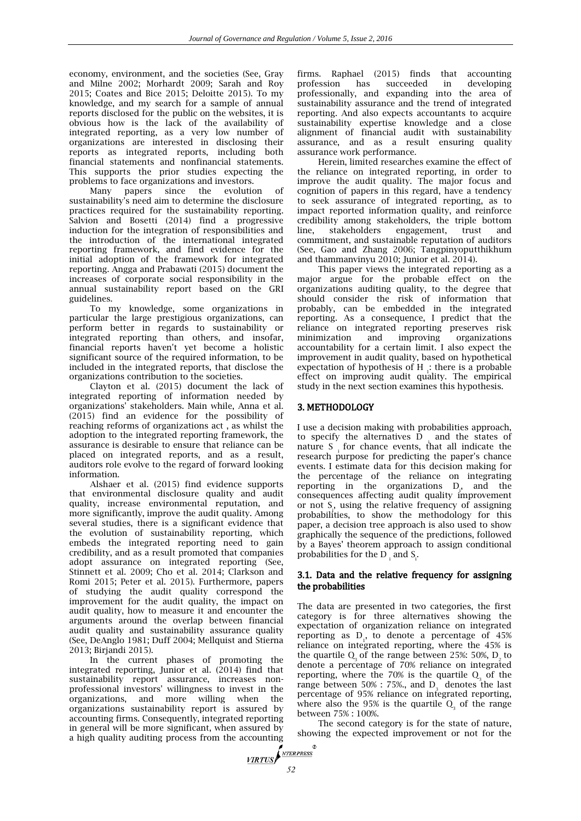economy, environment, and the societies (See, Gray and Milne 2002; Morhardt 2009; Sarah and Roy 2015; Coates and Bice 2015; Deloitte 2015). To my knowledge, and my search for a sample of annual reports disclosed for the public on the websites, it is obvious how is the lack of the availability of integrated reporting, as a very low number of organizations are interested in disclosing their reports as integrated reports, including both financial statements and nonfinancial statements. This supports the prior studies expecting the problems to face organizations and investors.

Many papers since the evolution of sustainability's need aim to determine the disclosure practices required for the sustainability reporting. Salvion and Bosetti (2014) find a progressive induction for the integration of responsibilities and the introduction of the international integrated reporting framework, and find evidence for the initial adoption of the framework for integrated reporting. Angga and Prabawati (2015) document the increases of corporate social responsibility in the annual sustainability report based on the GRI guidelines.

To my knowledge, some organizations in particular the large prestigious organizations, can perform better in regards to sustainability or integrated reporting than others, and insofar, financial reports haven't yet become a holistic significant source of the required information, to be included in the integrated reports, that disclose the organizations contribution to the societies.

Clayton et al. (2015) document the lack of integrated reporting of information needed by organizations' stakeholders. Main while, Anna et al. (2015) find an evidence for the possibility of reaching reforms of organizations act , as whilst the adoption to the integrated reporting framework, the assurance is desirable to ensure that reliance can be placed on integrated reports, and as a result, auditors role evolve to the regard of forward looking information.

Alshaer et al. (2015) find evidence supports that environmental disclosure quality and audit quality, increase environmental reputation, and more significantly, improve the audit quality. Among several studies, there is a significant evidence that the evolution of sustainability reporting, which embeds the integrated reporting need to gain credibility, and as a result promoted that companies adopt assurance on integrated reporting (See, Stinnett et al. 2009; Cho et al. 2014; Clarkson and Romi 2015; Peter et al. 2015). Furthermore, papers of studying the audit quality correspond the improvement for the audit quality, the impact on audit quality, how to measure it and encounter the arguments around the overlap between financial audit quality and sustainability assurance quality (See, DeAnglo 1981; Duff 2004; Mellquist and Stierna 2013; Birjandi 2015).

In the current phases of promoting the integrated reporting, Junior et al. (2014) find that sustainability report assurance, increases nonprofessional investors' willingness to invest in the organizations, and more willing when the organizations sustainability report is assured by accounting firms. Consequently, integrated reporting in general will be more significant, when assured by a high quality auditing process from the accounting

firms. Raphael (2015) finds that accounting profession has succeeded in developing professionally, and expanding into the area of sustainability assurance and the trend of integrated reporting. And also expects accountants to acquire sustainability expertise knowledge and a close alignment of financial audit with sustainability assurance, and as a result ensuring quality assurance work performance.

Herein, limited researches examine the effect of the reliance on integrated reporting, in order to improve the audit quality. The major focus and cognition of papers in this regard, have a tendency to seek assurance of integrated reporting, as to impact reported information quality, and reinforce credibility among stakeholders, the triple bottom line, stakeholders engagement, trust and commitment, and sustainable reputation of auditors (See, Gao and Zhang 2006; Tangpinyoputthikhum and thammanvinyu 2010; Junior et al. 2014).

This paper views the integrated reporting as a major argue for the probable effect on the organizations auditing quality, to the degree that should consider the risk of information that probably, can be embedded in the integrated reporting. As a consequence, I predict that the reliance on integrated reporting preserves risk minimization and improving organizations accountability for a certain limit. I also expect the improvement in audit quality, based on hypothetical expectation of hypothesis of H $_1$ : there is a probable effect on improving audit quality. The empirical study in the next section examines this hypothesis.

## 3. METHODOLOGY

I use a decision making with probabilities approach, to specify the alternatives D and the states of i nature S i for chance events, that all indicate the research purpose for predicting the paper's chance events. I estimate data for this decision making for the percentage of the reliance on integrating reporting in the organizations  $D_i$ , and the consequences affecting audit quality improvement or not S , using the relative frequency of assigning i probabilities, to show the methodology for this paper, a decision tree approach is also used to show graphically the sequence of the predictions, followed by a Bayes' theorem approach to assign conditional probabilities for the  $D_i$  and  $S_i$ .

## 3.1. Data and the relative frequency for assigning the probabilities

The data are presented in two categories, the first category is for three alternatives showing the expectation of organization reliance on integrated reporting as  $D_1$ , to denote a percentage of 45% reliance on integrated reporting, where the 45% is the quartile  $Q_3$  of the range between 25%: 50%,  $D_2$  to denote a percentage of 70% reliance on integrated reporting, where the  $70\%$  is the quartile  $Q_3$  of the range between 50% : 75%., and  $D_3$  denotes the last percentage of 95% reliance on integrated reporting, where also the 95% is the quartile  $Q_3$  of the range between 75% : 100%.

The second category is for the state of nature, showing the expected improvement or not for the

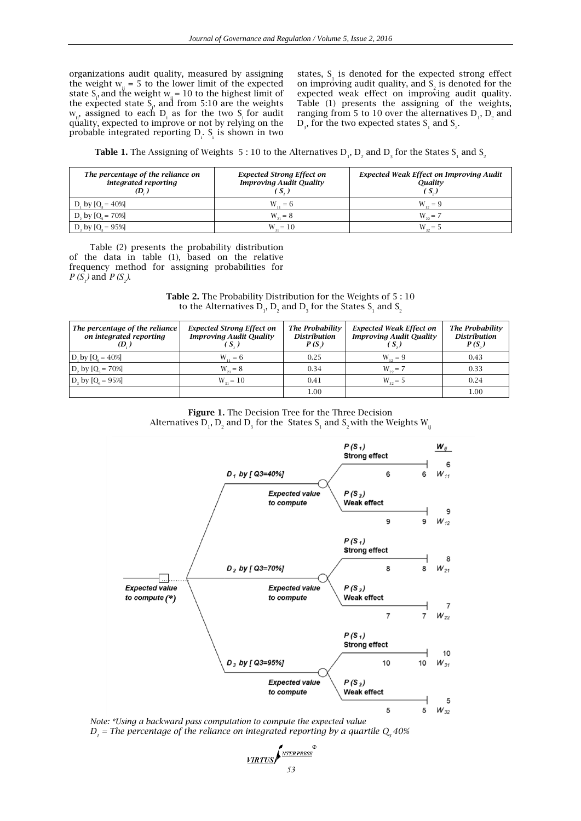organizations audit quality, measured by assigning the weight  $w_{ij} = 5$  to the lower limit of the expected state S<sub>i</sub>, and the weight  $w_{ij} = 10$  to the highest limit of the expected state  $S<sub>j</sub>$ , and from 5:10 are the weights  $w_{ij}$ , assigned to each  $D_i$  as for the two  $S_i$  for audit quality, expected to improve or not by relying on the probable integrated reporting  $D_i$ .  $S_i$  is shown in two

states, S<sub>1</sub> is denoted for the expected strong effect on improving audit quality, and  $S<sub>a</sub>$  is denoted for the expected weak effect on improving audit quality. Table (1) presents the assigning of the weights, ranging from 5 to 10 over the alternatives  $D_1$ ,  $D_2$  and  $D_{3}$ , for the two expected states  $S_{1}$  and  $S_{2}$ .

**Table 1.** The Assigning of Weights  $5:10$  to the Alternatives  $D_1$ ,  $D_2$  and  $D_3$  for the States  $S_1$  and  $S_2$ 

| The percentage of the reliance on<br>integrated reporting<br>$(D_i)$ | <b>Expected Strong Effect on</b><br><b>Improving Audit Quality</b><br>(S, ) | <b>Expected Weak Effect on Improving Audit</b><br><b>Quality</b><br>$(S_n)$ |
|----------------------------------------------------------------------|-----------------------------------------------------------------------------|-----------------------------------------------------------------------------|
| D, by $[Q_{0} = 40\%]$                                               | $W_{-} = 6$                                                                 | $W_{12} = 9$                                                                |
| D <sub>2</sub> by $[Q = 70\%]$                                       | $W = 8$                                                                     | $W = 7$                                                                     |
| D, by $[Q = 95\%]$                                                   | $W = 10$                                                                    | W<br>$=5$                                                                   |

Table (2) presents the probability distribution of the data in table (1), based on the relative frequency method for assigning probabilities for *P* (*S*<sub>*1*</sub>)</sub> and *P* (*S*<sub>*2*</sub>).

| <b>Table 2.</b> The Probability Distribution for the Weights of 5 : 10     |
|----------------------------------------------------------------------------|
| to the Alternatives $D_1$ , $D_2$ and $D_3$ for the States $S_1$ and $S_2$ |

| The percentage of the reliance<br>on integrated reporting<br>(D. | <b>Expected Strong Effect on</b><br><b>Improving Audit Quality</b> | The Probability<br><b>Distribution</b><br>P(S) | <b>Expected Weak Effect on</b><br><b>Improving Audit Quality</b><br>$(S_n)$ | The Probability<br><b>Distribution</b><br>$P(S_{n})$ |
|------------------------------------------------------------------|--------------------------------------------------------------------|------------------------------------------------|-----------------------------------------------------------------------------|------------------------------------------------------|
| D, by $[Q, = 40\%]$                                              | $W = 6$                                                            | 0.25                                           | $W = 9$                                                                     | 0.43                                                 |
| D <sub>2</sub> by $[Q_3 = 70\%]$                                 | $W_{21} = 8$                                                       | 0.34                                           | $W_{22} = 7$                                                                | 0.33                                                 |
| $D_1$ by $[Q_2 = 95\%]$                                          | $W = 10$                                                           | 0.41                                           | $W_{22} = 5$                                                                | 0.24                                                 |
|                                                                  |                                                                    | $1.00\,$                                       |                                                                             | 1.00                                                 |

**Figure 1.** The Decision Tree for the Three Decision Alternatives  ${\rm D}_{_{1}},{\rm D}_{_{2}}$  and  ${\rm D}_{_{3}}$  for the  $\,$  States  ${\rm S}_{_{1}}$  and  ${\rm S}_{_{2}}$  with the Weights  ${\rm W}_{_{\rm H}}$ 



*Note: \*Using a backward pass computation to compute the expected value*  $D_{_1}$  = The percentage of the reliance on integrated reporting by a quartile  $Q_{_3}$ 40%

$$
\underbrace{\text{VIRTUS}}_{53} / \underbrace{\text{NTERPRESS}}^{\text{R}} \bigg|
$$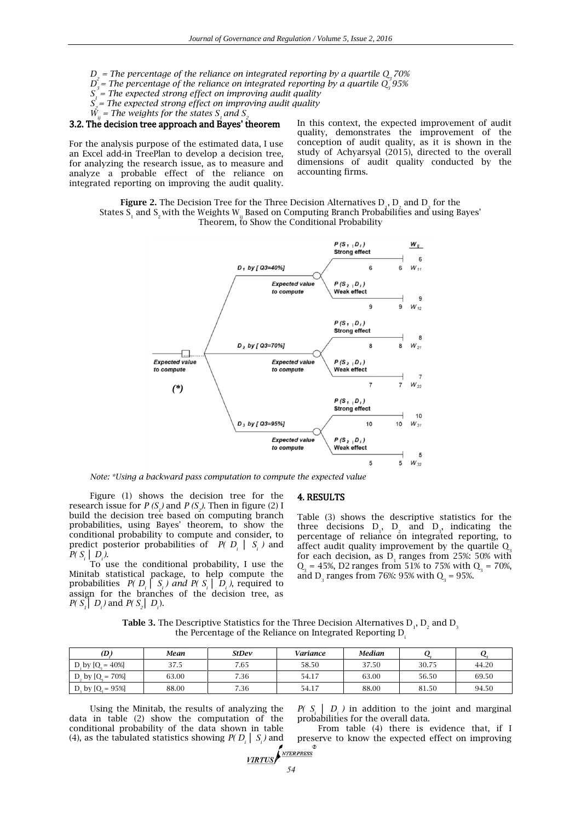$D_{2}$  = The percentage of the reliance on integrated reporting by a quartile  $Q_{3}$  70%

 $D_3$  = The percentage of the reliance on integrated reporting by a quartile  $Q_3^3$ 95%

*S1 = The expected strong effect on improving audit quality*

 $S_2$ <sup>2</sup> *= The expected strong effect on improving audit quality*

 $W_{ij}$  = The weights for the states  $S_i$  and  $S_j$ 

# 3.2. The decision tree approach and Bayes' theorem

For the analysis purpose of the estimated data, I use an Excel add-in TreePlan to develop a decision tree, for analyzing the research issue, as to measure and analyze a probable effect of the reliance on integrated reporting on improving the audit quality. In this context, the expected improvement of audit quality, demonstrates the improvement of the conception of audit quality, as it is shown in the study of Achyarsyal (2015), directed to the overall dimensions of audit quality conducted by the accounting firms.

**Figure 2.** The Decision Tree for the Three Decision Alternatives  $D_1$ ,  $D_2$  and  $D_3$  for the States S<sub>1</sub> and S<sub>2</sub> with the Weights W<sub>ij</sub> Based on Computing Branch Probabilities and using Bayes' Theorem, to Show the Conditional Probability



*Note: \*Using a backward pass computation to compute the expected value*

Figure (1) shows the decision tree for the research issue for  $P(S_i)$  and  $P(S_j)$ . Then in figure (2) I build the decision tree based on computing branch probabilities, using Bayes' theorem, to show the conditional probability to compute and consider, to predict posterior probabilities of *P( D<sub>i</sub>* | *S<sub>i</sub>*) and *P( S<sup>i</sup>* │ *D<sup>i</sup> ).*

To use the conditional probability, I use the Minitab statistical package, to help compute the probabilities  $P(D_i \mid S_i)$  and  $P(S_i \mid D_i)$ , required to assign for the branches of the decision tree, as *P( S<sub><i>i*</sub> $\mid$  *D<sub><i>i*</sub></sub>) and *P( S<sub><i>i*</sub> $\mid$  *D<sub><i>i*</sub>).

#### 4. RESULTS

Table (3) shows the descriptive statistics for the three decisions  $D_1$ ,  $D_2$  and  $D_3$ , indicating the percentage of reliance on integrated reporting, to affect audit quality improvement by the quartile  $Q_{\alpha}$ for each decision, as  $D_1$  ranges from 25%: 50% with  $Q_3 = 45\%$ , D2 ranges from 51% to 75% with  $Q_3 = 70\%$ , and  $D_3$  ranges from 76%: 95% with  $Q_3 = 95\%$ .

**Table 3.** The Descriptive Statistics for the Three Decision Alternatives  $D_1$ ,  $D_2$  and  $D_3$ the Percentage of the Reliance on Integrated Reporting  $D_i$ 

| (D)                                | Mean  | <b>StDev</b> | Variance | <b>Median</b> |       |       |
|------------------------------------|-------|--------------|----------|---------------|-------|-------|
| D, by $[Q_{\alpha} = 40\%]$        | 37.5  | 7.65         | 58.50    | 37.50         | 30.75 | 44.20 |
| D <sub>2</sub> by $[Q_{2} = 70\%]$ | 63.00 | 7.36         | 54.17    | 63.00         | 56.50 | 69.50 |
| D, by $[Q_{0} = 95\%]$             | 88.00 | 7.36         | 54.17    | 88.00         | 81.50 | 94.50 |

Using the Minitab, the results of analyzing the data in table (2) show the computation of the conditional probability of the data shown in table (4), as the tabulated statistics showing  $P(D_i \mid S_i)$  and

*P(* $S_i$   $\bigcup_i D_i$ ) in addition to the joint and marginal probabilities for the overall data.

From table (4) there is evidence that, if I preserve to know the expected effect on improving NTERPRESS

$$
\frac{\text{VIRTUS}}{54}
$$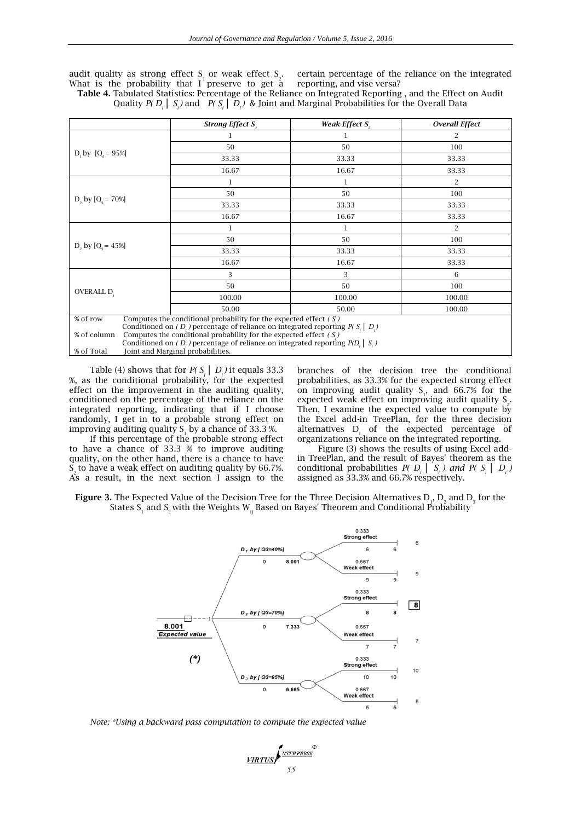audit quality as strong effect  $S_1$  or weak effect  $S_2$ . What is the probability that I preserve to get a certain percentage of the reliance on the integrated reporting, and vise versa?

**Table 4.** Tabulated Statistics: Percentage of the Reliance on Integrated Reporting , and the Effect on Audit Quality *P( D<sup>i</sup>* │ *S<sup>i</sup> )* and *P( S<sup>i</sup>* │ *D<sup>i</sup> )* & Joint and Marginal Probabilities for the Overall Data

|                                                                                                                                                                                                                                                                                                                                                                                                             | Strong Effect S, | Weak Effect S, | <b>Overall Effect</b> |  |
|-------------------------------------------------------------------------------------------------------------------------------------------------------------------------------------------------------------------------------------------------------------------------------------------------------------------------------------------------------------------------------------------------------------|------------------|----------------|-----------------------|--|
|                                                                                                                                                                                                                                                                                                                                                                                                             | 1                | 1              | $\overline{2}$        |  |
| D, by $[Q_{0} = 95\%]$                                                                                                                                                                                                                                                                                                                                                                                      | 50               | 50             | 100                   |  |
|                                                                                                                                                                                                                                                                                                                                                                                                             | 33.33            | 33.33          | 33.33                 |  |
|                                                                                                                                                                                                                                                                                                                                                                                                             | 16.67            | 16.67          | 33.33                 |  |
|                                                                                                                                                                                                                                                                                                                                                                                                             | 1                | 1              | $\overline{2}$        |  |
|                                                                                                                                                                                                                                                                                                                                                                                                             | 50               | 50             | 100                   |  |
| D <sub>2</sub> by $[Q_{2} = 70\%]$                                                                                                                                                                                                                                                                                                                                                                          | 33.33            | 33.33          | 33.33                 |  |
|                                                                                                                                                                                                                                                                                                                                                                                                             | 16.67            | 16.67          | 33.33                 |  |
|                                                                                                                                                                                                                                                                                                                                                                                                             | 1                | $\mathbf{1}$   | $\overline{2}$        |  |
|                                                                                                                                                                                                                                                                                                                                                                                                             | 50               | 50             | 100                   |  |
| D <sub>2</sub> by $[Q_s = 45\%]$                                                                                                                                                                                                                                                                                                                                                                            | 33.33            | 33.33          | 33.33                 |  |
|                                                                                                                                                                                                                                                                                                                                                                                                             | 16.67            | 16.67          | 33.33                 |  |
|                                                                                                                                                                                                                                                                                                                                                                                                             | 3                | 3              | 6                     |  |
| <b>OVERALL D</b>                                                                                                                                                                                                                                                                                                                                                                                            | 50               | 50             | 100                   |  |
|                                                                                                                                                                                                                                                                                                                                                                                                             | 100.00           | 100.00         | 100.00                |  |
|                                                                                                                                                                                                                                                                                                                                                                                                             | 50.00            | 50.00          | 100.00                |  |
| % of row<br>Computes the conditional probability for the expected effect $(S_i)$<br>Conditioned on $(D_i)$ percentage of reliance on integrated reporting $P(S_i   D_i)$<br>Computes the conditional probability for the expected effect $(S_i)$<br>% of column<br>Conditioned on $(D_i)$ percentage of reliance on integrated reporting $P(D \mid S_i)$<br>Joint and Marginal probabilities.<br>% of Total |                  |                |                       |  |

Table (4) shows that for  $P(S_i \mid D_i)$  it equals 33.3 %, as the conditional probability, for the expected effect on the improvement in the auditing quality, conditioned on the percentage of the reliance on the integrated reporting, indicating that if I choose randomly, I get in to a probable strong effect on improving auditing quality S by a chance of 33.3 %.

branches of the decision tree the conditional probabilities, as 33.3% for the expected strong effect on improving audit quality S , and 66.7% for the  $\epsilon$  expected weak effect on improving audit quality S<sub>.</sub>. Then, I examine the expected value to compute by the Excel add-in TreePlan, for the three decision alternatives  $D_i$  of the expected percentage of organizations reliance on the integrated reporting.

If this percentage of the probable strong effect to have a chance of 33.3 % to improve auditing quality, on the other hand, there is a chance to have S 2 to have a weak effect on auditing quality by 66.7%. As a result, in the next section I assign to the

Figure (3) shows the results of using Excel addin TreePlan, and the result of Bayes' theorem as the conditional probabilities  $P(P_i \mid S_i)$  and  $P(S_i \mid D_i)$ assigned as 33.3% and 66.7% respectively.

**Figure 3.** The Expected Value of the Decision Tree for the Three Decision Alternatives  $D_1$ ,  $D_2$  and  $D_3$  for the States  $\boldsymbol{\mathrm{S}}_1$  and  $\boldsymbol{\mathrm{S}}_2$  with the Weights  $\boldsymbol{\mathrm{W}}_{ij}$  Based on Bayes' Theorem and Conditional Probability



*Note: \*Using a backward pass computation to compute the expected value*

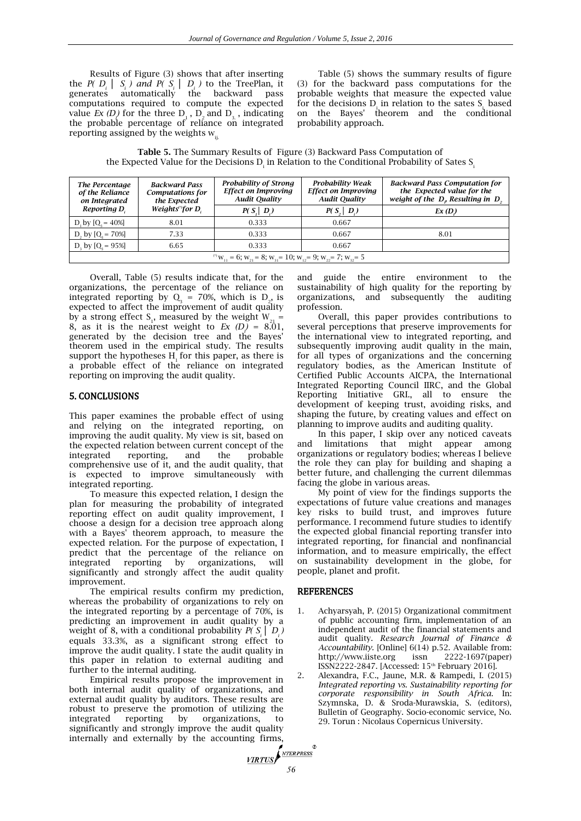Results of Figure (3) shows that after inserting the *P*( $D_i$  |  $S_i$ ) and *P*( $S_i$  |  $D_j$ ) to the TreePlan, it generates automatically the backward pass computations required to compute the expected value *Ex* (*D*<sub>*j*</sub> for the three  $D_{1}$ ,  $D_{2}$  and  $D_{3}$ , indicating the probable percentage of reliance on integrated reporting assigned by the weights  $w_{ij}$ .

Table (5) shows the summary results of figure (3) for the backward pass computations for the probable weights that measure the expected value for the decisions  $D_i$  in relation to the sates  $S_i$  based i, on the Bayes' theorem and the conditional probability approach.

**Table 5.** The Summary Results of Figure (3) Backward Pass Computation of the Expected Value for the Decisions  ${\rm D}_{{}_{\rm i}}$  in Relation to the Conditional Probability of Sates S

| The Percentage<br>of the Reliance<br>on Integrated                                                      | <b>Backward Pass</b><br><b>Computations for</b><br>the Expected | <b>Probability of Strong</b><br><b>Effect on Improving</b><br><b>Audit Quality</b> | <b>Probability Weak</b><br><b>Effect on Improving</b><br><b>Audit Quality</b> | <b>Backward Pass Computation for</b><br>the Expected value for the<br>weight of the $D_s$ , Resulting in $D_s$ |  |
|---------------------------------------------------------------------------------------------------------|-----------------------------------------------------------------|------------------------------------------------------------------------------------|-------------------------------------------------------------------------------|----------------------------------------------------------------------------------------------------------------|--|
| Reporting D.                                                                                            | Weights <sup>*</sup> for D.                                     | $P(S_i   D_i)$                                                                     | $P(S_{2}   D_{i})$                                                            | Ex(D)                                                                                                          |  |
| D <sub>1</sub> by $[Q_2 = 40\%]$                                                                        | 8.01                                                            | 0.333                                                                              | 0.667                                                                         |                                                                                                                |  |
| D <sub>2</sub> by $[Q_{3} = 70\%]$                                                                      | 7.33                                                            | 0.333                                                                              | 0.667                                                                         | 8.01                                                                                                           |  |
| D, by $[Q_{0} = 95\%]$                                                                                  | 6.65                                                            | 0.333                                                                              | 0.667                                                                         |                                                                                                                |  |
| <sup>(*)</sup> $W_{11} = 6$ ; $W_{21} = 8$ ; $W_{21} = 10$ ; $W_{12} = 9$ ; $W_{22} = 7$ ; $W_{22} = 5$ |                                                                 |                                                                                    |                                                                               |                                                                                                                |  |

Overall, Table (5) results indicate that, for the organizations, the percentage of the reliance on integrated reporting by  $Q_3 = 70\%$ , which is  $D_2$  is expected to affect the improvement of audit quality by a strong effect S<sub>1</sub>, measured by the weight  $W_{21}$ <sup>1</sup>, measured by the weight  $W_{21}$  = 8, as it is the nearest weight to  $Ex(D) = 8.01$ , generated by the decision tree and the Bayes' theorem used in the empirical study. The results support the hypotheses  $H_1$  for this paper, as there is a probable effect of the reliance on integrated reporting on improving the audit quality.

## 5. CONCLUSIONS

This paper examines the probable effect of using and relying on the integrated reporting, on improving the audit quality. My view is sit, based on the expected relation between current concept of the integrated reporting, and the probable integrated reporting, and the comprehensive use of it, and the audit quality, that is expected to improve simultaneously with integrated reporting.

To measure this expected relation, I design the plan for measuring the probability of integrated reporting effect on audit quality improvement, I choose a design for a decision tree approach along with a Bayes' theorem approach, to measure the expected relation. For the purpose of expectation, I predict that the percentage of the reliance on integrated reporting by organizations, will significantly and strongly affect the audit quality improvement.

The empirical results confirm my prediction, whereas the probability of organizations to rely on the integrated reporting by a percentage of 70%, is predicting an improvement in audit quality by a weight of 8, with a conditional probability  $P(S_i \mid D_i)$ equals 33.3%, as a significant strong effect to improve the audit quality. I state the audit quality in this paper in relation to external auditing and further to the internal auditing.

Empirical results propose the improvement in both internal audit quality of organizations, and external audit quality by auditors. These results are robust to preserve the promotion of utilizing the integrated reporting by organizations, to significantly and strongly improve the audit quality internally and externally by the accounting firms,

and guide the entire environment to the sustainability of high quality for the reporting by organizations, and subsequently the auditing profession.

Overall, this paper provides contributions to several perceptions that preserve improvements for the international view to integrated reporting, and subsequently improving audit quality in the main, for all types of organizations and the concerning regulatory bodies, as the American Institute of Certified Public Accounts AICPA, the International Integrated Reporting Council IIRC, and the Global Reporting Initiative GRI., all to ensure the development of keeping trust, avoiding risks, and shaping the future, by creating values and effect on planning to improve audits and auditing quality.

In this paper, I skip over any noticed caveats and limitations that might appear among organizations or regulatory bodies; whereas I believe the role they can play for building and shaping a better future, and challenging the current dilemmas facing the globe in various areas.

My point of view for the findings supports the expectations of future value creations and manages key risks to build trust, and improves future performance. I recommend future studies to identify the expected global financial reporting transfer into integrated reporting, for financial and nonfinancial information, and to measure empirically, the effect on sustainability development in the globe, for people, planet and profit.

### **REFERENCES**

- 1. Achyarsyah, P. (2015) Organizational commitment of public accounting firm, implementation of an independent audit of the financial statements and audit quality. *Research Journal of Finance & Accountability.* [Online] 6(14) p.52. Available from: [http://www.iiste.org](http://www.iiste.org/) issn 2222-1697(paper) ISSN2222-2847. [Accessed: 15<sup>th</sup> February 2016].
- 2. Alexandra, F.C., Jaune, M.R. & Rampedi, I. (2015) *Integrated reporting vs. Sustainability reporting for corporate responsibility in South Africa*. In: Szymnska, D. & Sroda-Murawskia, S. (editors), Bulletin of Geography. Socio-economic service, No. 29. Torun : Nicolaus Copernicus University.

**VIRTUS**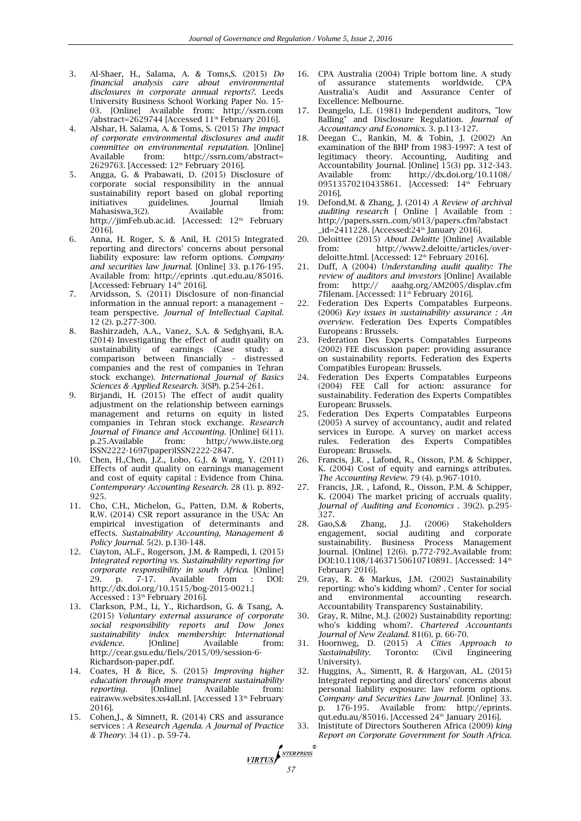- 3. Al-Shaer, H., Salama, A. & Toms,S. (2015) *Do financial analysis care about environmental disclosures in corporate annual reports?*. Leeds University Business School Working Paper No. 15- 03. [Online] Available from: http://ssrn.com /abstract=2629744 [Accessed 11th February 2016].
- 4. Alshar, H. Salama, A. & Toms, S. (2015) *The impact of corporate environmental disclosures and audit committee on environmental reputation*. [Online] Available from: [http://ssrn.com/abstract=](http://ssrn.com/abstract=2629763.%5bAccessed) [2629763. \[Accessed:](http://ssrn.com/abstract=2629763.%5bAccessed) 12<sup>th</sup> February 2016].
- 5. Angga, G. & Prabawati, D. (2015) Disclosure of corporate social responsibility in the annual sustainability report based on global reporting initiatives guidelines. Journal llmiah<br>Mahasiswa.3(2). Available from: Mahasiswa,3(2). Available from: http://jimFeb.ub.ac.id. [Accessed: 12<sup>th</sup> February 2016].
- 6. Anna, H. Roger, S. & Anil, H. (2015) Integrated reporting and directors' concerns about personal liability exposure: law reform options. *Company and securities law Journal.* [Online] 33. p.176-195. Available from: http://eprints .qut.edu.au/85016. [Accessed: February  $14<sup>th</sup>$  2016].
- 7. Arvidsson, S. (2011) Disclosure of non-financial information in the annual report: a management – team perspective. *Journal of Intellectual Capital*. 12 (2). p.277-300.
- 8. Bashirzadeh, A.A., Vanez, S.A. & Sedghyani, B.A. (2014) Investigating the effect of audit quality on sustainability of earnings (Case study: a comparison between financially – distressed companies and the rest of companies in Tehran stock exchange). *International Journal of Basics Sciences & Applied Research*. 3(SP). p.254-261.
- 9. Birjandi, H. (2015) The effect of audit quality adjustment on the relationship between earnings management and returns on equity in listed companies in Tehran stock exchange. *Research*  Journal of Finance and Accounting. [Online] 6(11). p.25.Available from: [http://www.iiste.org](http://www.iiste.orgissn2222-1697(paper)issn2222-2847/) [ISSN2222-1697\(paper\)ISSN2222-2847.](http://www.iiste.orgissn2222-1697(paper)issn2222-2847/)
- 10. Chen, H.,Chen, J.Z., Lobo, G.J. & Wang, Y. (2011) Effects of audit quality on earnings management and cost of equity capital : Evidence from China. *Contemporary Accounting Research.* 28 (1). p. 892- 925.
- 11. Cho, C.H., Michelon, G., Patten, D.M. & Roberts, R.W. (2014) CSR report assurance in the USA: An empirical investigation of determinants and effects. *Sustainability Accounting, Management & Policy Journal*. 5(2). p.130-148.
- 12. Ciayton, AL.F., Rogerson, J.M. & Rampedi, I. (2015) *Integrated reporting vs. Sustainability reporting for corporate responsibility in south Africa.* [Online]<br>29 n 7-17 Available from : DOI: 29. p. 7-17. Available from : DOI: [http://dx.doi.org/10.1515/bog-2015-0021.](http://dx.doi.org/10.1515/bog-2015-0021)[ Accessed : 13th February 2016].
- 13. Clarkson, P.M., Li, Y., Richardson, G. & Tsang, A. (2015) *Voluntary external assurance of corporate social responsibility reports and Dow Jones sustainability index membership: International evidence*. [Online] Available from: [http://cear.gsu.edu/fiels/2015/09/session-6-](http://cear.gsu.edu/fiels/2015/09/session-6-Richardson-paper.pdf) [Richardson-paper.pdf.](http://cear.gsu.edu/fiels/2015/09/session-6-Richardson-paper.pdf)
- 14. Coates, H & Bice, S. (2015) *Improving higher education through more transparent sustainability reporting.* [Online] Available from: eairaww.websites.xs4all.nl. [Accessed 13<sup>th</sup> February 2016].
- 15. Cohen,J., & Simnett, R. (2014) CRS and assurance services : *A Research Agenda. A Journal of Practice & Theory.* 34 (1) . p. 59-74.
- 16. CPA Australia (2004) Triple bottom line. A study of assurance statements worldwide. CPA Australia's Audit and Assurance Center of Excellence: Melbourne.
- 17. Deangelo, L.E. (1981) Independent auditors, "low Balling" and Disclosure Regulation. *Journal of Accountancy and Economics.* 3. p.113-127.
- 18. Deegan C., Rankin, M. & Tobin, J. (2002) An examination of the BHP from 1983-1997: A test of legitimacy theory. Accounting, Auditing and Accountability Journal. [Online] 15(3) pp. 312-343.<br>Available from: http://dx.doi.org/10.1108/ Available from: [http://dx.doi.org/10.1108/](http://dx.doi.org/10.1108/09513570210435861) [09513570210435861.](http://dx.doi.org/10.1108/09513570210435861) [Accessed: 14<sup>th</sup> February 2016].
- 19. Defond,M. & Zhang, J. (2014) *A Review of archival auditing research* [ Online ] Available from : http://papers.ssrn..com/s013/papers.cfm?abstact \_id=2411228. [Accessed:24th January 2016].
- 20. Deloittee (2015) *About Deloitte* [Online] Available from: http://www2.deloitte/articles/overdeloitte.html. [Accessed: 12<sup>th</sup> February 2016].
- 21. Duff, A (2004) *Understanding audit quality: The review of auditors and investors* [Online] Available from: http:// aaahg.org/AM2005/displav.cfm 7filenam. [Accessed: 11<sup>th</sup> February 2016].
- 22. Federation Des Experts Compatables Eurpeons. (2006) *Key issues in sustainability assurance : An overview.* Federation Des Experts Compatibles Europeans : Brussels.
- 23. Federation Des Experts Compatables Eurpeons (2002) FEE discussion paper: providing assurance on sustainability reports. Federation des Experts Compatibles European: Brussels.
- 24. Federation Des Experts Compatables Eurpeons (2004) FEE Call for action: assurance for sustainability. Federation des Experts Compatibles European: Brussels.
- 25. Federation Des Experts Compatables Eurpeons (2005) A survey of accountancy, audit and related services in Europe. A survey on market access rules. Federation des Experts Compatibles European: Brussels.
- 26. Francis, J.R. , Lafond, R., Oisson, P.M. & Schipper, K. (2004) Cost of equity and earnings attributes. *The Accounting Review*. 79 (4). p.967-1010.
- 27. Francis, J.R. , Lafond, R., Oisson, P.M. & Schipper, K. (2004) The market pricing of accruals quality. *Journal of Auditing and Economics* . 39(2). p.295- 327.
- 28. Gao,S.& Zhang, J.J. (2006) Stakeholders engagement, social auditing and corporate sustainability. Business Process Management Journal. [Online] 12(6). p.772-792.Available from: DOI:10.1108/14637150610710891. [Accessed: 14th February 2016].
- 29. Gray, R. & Markus, J.M. (2002) Sustainability reporting: who's kidding whom? . Center for social and environmental accounting research. Accountability Transparency Sustainability.
- 30. Gray, R. Milne, M.J. (2002) Sustainability reporting: who's kidding whom?. *Chartered Accountants Journal of New Zealand*. 81(6). p. 66-70.
- 31. Hoornweg, D. (2015) *A Cities Approach to Sustainability*. Toronto: (Civil Engineering University).
- 32. Huggins, A., Simentt, R. & Hargovan, AL. (2015) Integrated reporting and directors' concerns about personal liability exposure: law reform options. *Company and Securities Law Journal.* [Online] 33. p. 176-195. Available from: http://eprints. qut.edu.au/85016. [Accessed 24<sup>th</sup> January 2016].
- 33. Inistitute of Directors Southeren Africa (2009) *king Report on Corporate Government for South Africa*.

**VIRTUS**